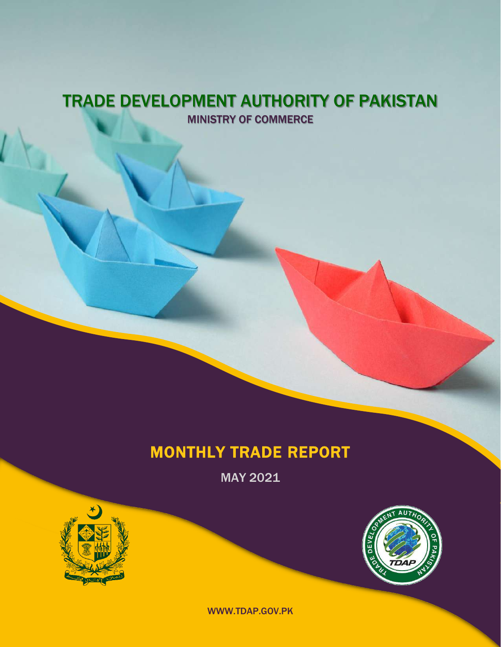### TRADE DEVELOPMENT AUTHORITY OF PAKISTAN MINISTRY OF COMMERCE

### MONTHLY TRADE REPORT

MAY 2021





WWW.TDAP.GOV.PK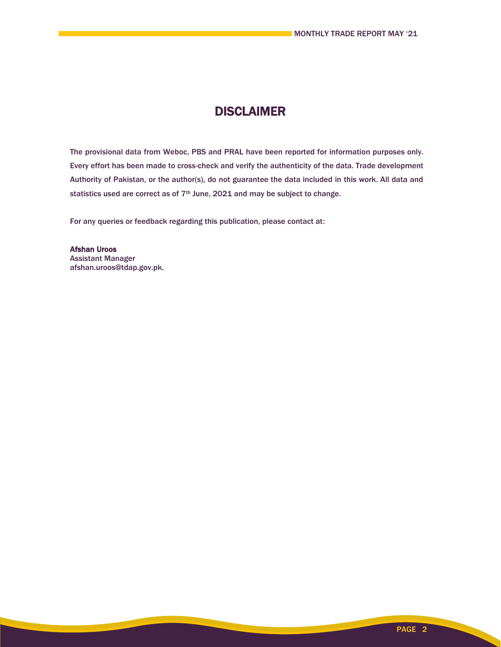### **DISCLAIMER**

The provisional data from Weboc, PBS and PRAL have been reported for information purposes only. Every effort has been made to cross-check and verify the authenticity of the data. Trade development Authority of Pakistan, or the author(s), do not guarantee the data included in this work. All data and statistics used are correct as of 7<sup>th</sup> June, 2021 and may be subject to change.

For any queries or feedback regarding this publication, please contact at:

Afshan Uroos Assistant Manager afshan.uroos@tdap.gov.pk.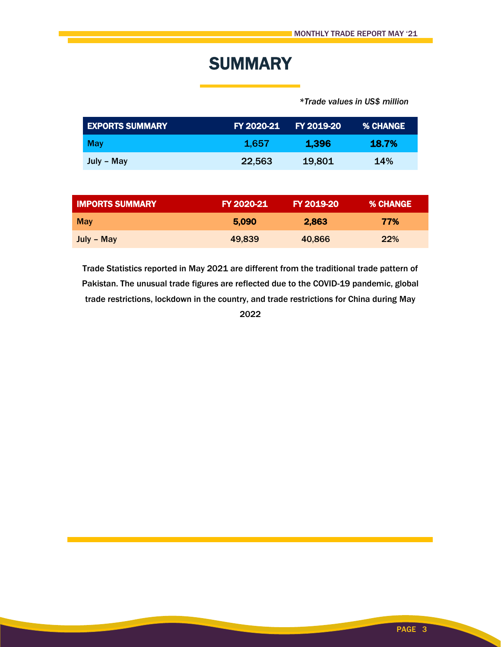## **SUMMARY**

 *\*Trade values in US\$ million*

| <b>EXPORTS SUMMARY</b> | FY 2020-21 | <b>FY 2019-20</b> | <b>% CHANGE</b> |
|------------------------|------------|-------------------|-----------------|
| May                    | 1.657      | 1.396             | <b>18.7%</b>    |
| July – May             | 22,563     | 19,801            | 14%             |

| <b>IMPORTS SUMMARY</b> | FY 2020-21 | FY 2019-20 | <b>% CHANGE</b> |
|------------------------|------------|------------|-----------------|
| <b>May</b>             | 5.090      | 2,863      | 77%             |
| July – May             | 49,839     | 40.866     | <b>22%</b>      |

Trade Statistics reported in May 2021 are different from the traditional trade pattern of Pakistan. The unusual trade figures are reflected due to the COVID-19 pandemic, global trade restrictions, lockdown in the country, and trade restrictions for China during May 2022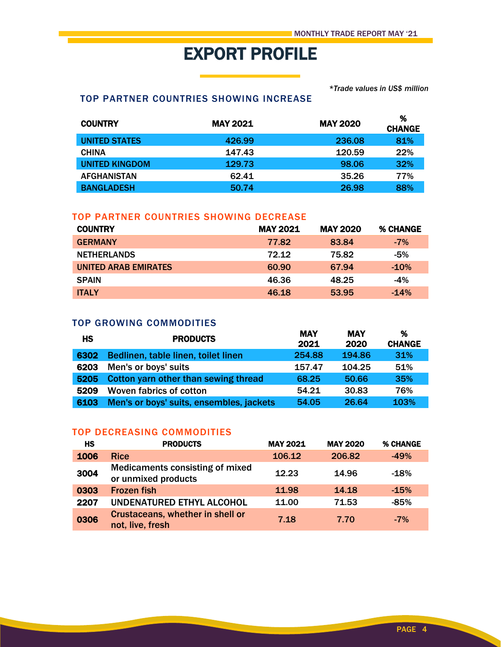# EXPORT PROFILE

*\*Trade values in US\$ million*

#### TOP PARTNER COUNTRIES SHOWING INCREASE

| <b>COUNTRY</b>        | <b>MAY 2021</b> | <b>MAY 2020</b> | %<br><b>CHANGE</b> |
|-----------------------|-----------------|-----------------|--------------------|
| <b>UNITED STATES</b>  | 426.99          | 236.08          | 81%                |
| <b>CHINA</b>          | 147.43          | 120.59          | 22%                |
| <b>UNITED KINGDOM</b> | 129.73          | 98.06           | 32%                |
| <b>AFGHANISTAN</b>    | 62.41           | 35.26           | 77%                |
| <b>BANGLADESH</b>     | 50.74           | 26.98           | 88%                |

#### TOP PARTNER COUNTRIES SHOWING DECREASE

| <b>COUNTRY</b>       | <b>MAY 2021</b> | <b>MAY 2020</b> | <b>% CHANGE</b> |
|----------------------|-----------------|-----------------|-----------------|
| <b>GERMANY</b>       | 77.82           | 83.84           | $-7\%$          |
| <b>NETHERLANDS</b>   | 72.12           | 75.82           | $-5%$           |
| UNITED ARAB EMIRATES | 60.90           | 67.94           | $-10%$          |
| <b>SPAIN</b>         | 46.36           | 48.25           | $-4%$           |
| <b>ITALY</b>         | 46.18           | 53.95           | $-14%$          |

#### TOP GROWING COMMODITIES

| HS   | <b>PRODUCTS</b>                          | <b>MAY</b><br>2021 | MAY<br>2020 | %<br><b>CHANGE</b> |
|------|------------------------------------------|--------------------|-------------|--------------------|
| 6302 | Bedlinen, table linen, toilet linen      | 254.88             | 194.86      | 31%                |
| 6203 | Men's or boys' suits                     | 157.47             | 104.25      | 51%                |
| 5205 | Cotton yarn other than sewing thread     | 68.25              | 50.66       | 35%                |
| 5209 | Woven fabrics of cotton                  | 54.21              | 30.83       | 76%                |
| 6103 | Men's or boys' suits, ensembles, jackets | 54.05              | 26.64       | 103%               |

#### TOP DECREASING COMMODITIES

| <b>HS</b> | <b>PRODUCTS</b>                                               | <b>MAY 2021</b> | <b>MAY 2020</b> | % CHANGE |
|-----------|---------------------------------------------------------------|-----------------|-----------------|----------|
| 1006      | <b>Rice</b>                                                   | 106.12          | 206.82          | $-49%$   |
| 3004      | <b>Medicaments consisting of mixed</b><br>or unmixed products | 12.23           | 14.96           | $-18%$   |
| 0303      | <b>Frozen fish</b>                                            | 11.98           | 14.18           | $-15%$   |
| 2207      | UNDENATURED ETHYL ALCOHOL                                     | 11.00           | 71.53           | $-85%$   |
| 0306      | Crustaceans, whether in shell or<br>not, live, fresh          | 7.18            | 7.70            | $-7%$    |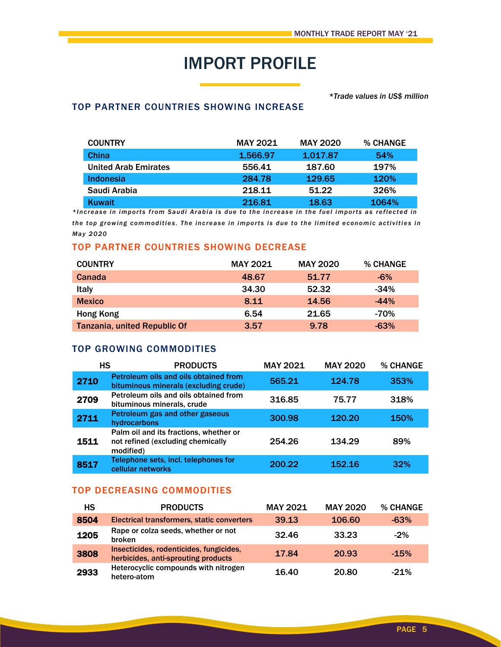## IMPORT PROFILE

#### *\*Trade values in US\$ million*

#### TOP PARTNER COUNTRIES SHOWING INCREASE

| <b>COUNTRY</b>              | <b>MAY 2021</b> | <b>MAY 2020</b> | <b>% CHANGE</b> |
|-----------------------------|-----------------|-----------------|-----------------|
| China                       | 1.566.97        | 1,017.87        | 54%             |
| <b>United Arab Emirates</b> | 556.41          | 187.60          | 197%            |
| Indonesia                   | 284.78          | 129.65          | <b>120%</b>     |
| Saudi Arabia                | 218.11          | 51.22           | 326%            |
| <b>Kuwait</b>               | 216.81          | 18.63           | 1064%           |

\*Increase in imports from Saudi Arabia is due to the increase in the fuel imports as reflected in *the top growing commodities. The increase in imports is due to the limited economic activities in May 20 20*

#### TOP PARTNER COUNTRIES SHOWING DECREASE

| <b>COUNTRY</b>               | <b>MAY 2021</b> | <b>MAY 2020</b> | <b>% CHANGE</b> |
|------------------------------|-----------------|-----------------|-----------------|
| Canada                       | 48.67           | 51.77           | $-6\%$          |
| <b>Italy</b>                 | 34.30           | 52.32           | $-34%$          |
| <b>Mexico</b>                | 8.11            | 14.56           | $-44%$          |
| Hong Kong                    | 6.54            | 21.65           | $-70%$          |
| Tanzania, united Republic Of | 3.57            | 9.78            | $-63%$          |

#### TOP GROWING COMMODITIES

| НS   | <b>PRODUCTS</b>                                                                          | <b>MAY 2021</b> | <b>MAY 2020</b> | % CHANGE    |
|------|------------------------------------------------------------------------------------------|-----------------|-----------------|-------------|
| 2710 | Petroleum oils and oils obtained from<br>bituminous minerals (excluding crude)           | 565.21          | 124.78          | 353%        |
| 2709 | Petroleum oils and oils obtained from<br>bituminous minerals, crude                      | 316.85          | 75.77           | 318%        |
| 2711 | Petroleum gas and other gaseous<br>hydrocarbons                                          | 300.98          | 120.20          | <b>150%</b> |
| 1511 | Palm oil and its fractions, whether or<br>not refined (excluding chemically<br>modified) | 254.26          | 134.29          | 89%         |
| 8517 | Telephone sets, incl. telephones for<br>cellular networks                                | 200.22          | 152.16          | 32%         |

#### TOP DECREASING COMMODITIES

| HS   | <b>PRODUCTS</b>                                                                | <b>MAY 2021</b> | <b>MAY 2020</b> | % CHANGE |
|------|--------------------------------------------------------------------------------|-----------------|-----------------|----------|
| 8504 | Electrical transformers, static converters                                     | 39.13           | 106.60          | $-63%$   |
| 1205 | Rape or colza seeds, whether or not<br><b>broken</b>                           | 32.46           | 33.23           | $-2%$    |
| 3808 | Insecticides, rodenticides, fungicides,<br>herbicides, anti-sprouting products | 17.84           | 20.93           | $-15%$   |
| 2933 | Heterocyclic compounds with nitrogen<br>hetero-atom                            | 16.40           | 20.80           | $-21%$   |